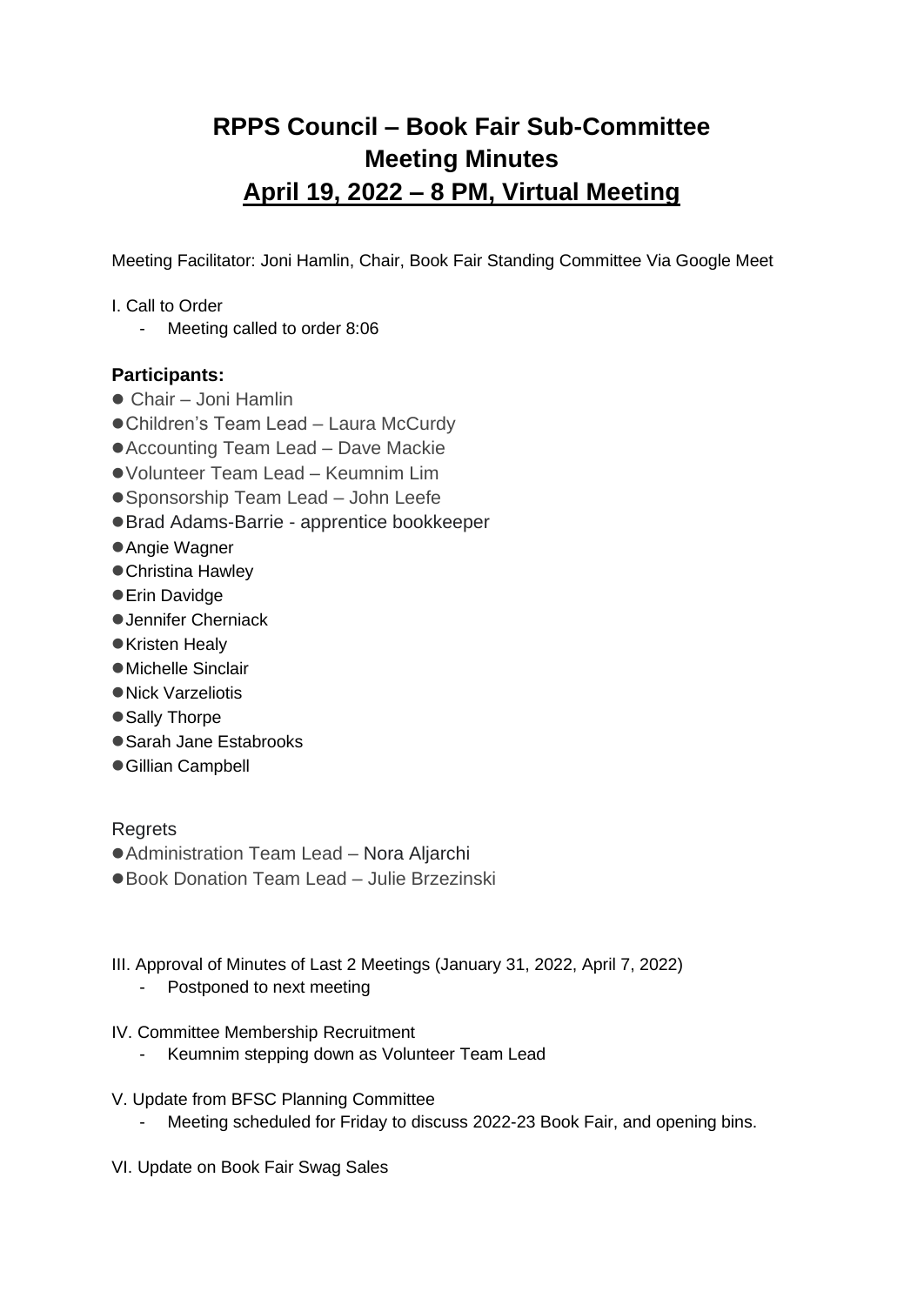# **RPPS Council – Book Fair Sub-Committee Meeting Minutes April 19, 2022 – 8 PM, Virtual Meeting**

Meeting Facilitator: Joni Hamlin, Chair, Book Fair Standing Committee Via Google Meet

- I. Call to Order
	- Meeting called to order 8:06

# **Participants:**

- Chair Joni Hamlin
- Children's Team Lead Laura McCurdy
- Accounting Team Lead Dave Mackie
- ●Volunteer Team Lead Keumnim Lim
- Sponsorship Team Lead John Leefe
- ●Brad Adams-Barrie apprentice bookkeeper
- Angie Wagner
- Christina Hawley
- Erin Davidge
- Jennifer Cherniack
- ●Kristen Healy
- ●Michelle Sinclair
- ●Nick Varzeliotis
- Sally Thorpe
- Sarah Jane Estabrooks
- Gillian Campbell

# **Regrets**

- Administration Team Lead Nora Aljarchi
- ●Book Donation Team Lead Julie Brzezinski
- III. Approval of Minutes of Last 2 Meetings (January 31, 2022, April 7, 2022)
	- Postponed to next meeting
- IV. Committee Membership Recruitment
	- Keumnim stepping down as Volunteer Team Lead
- V. Update from BFSC Planning Committee
	- Meeting scheduled for Friday to discuss 2022-23 Book Fair, and opening bins.
- VI. Update on Book Fair Swag Sales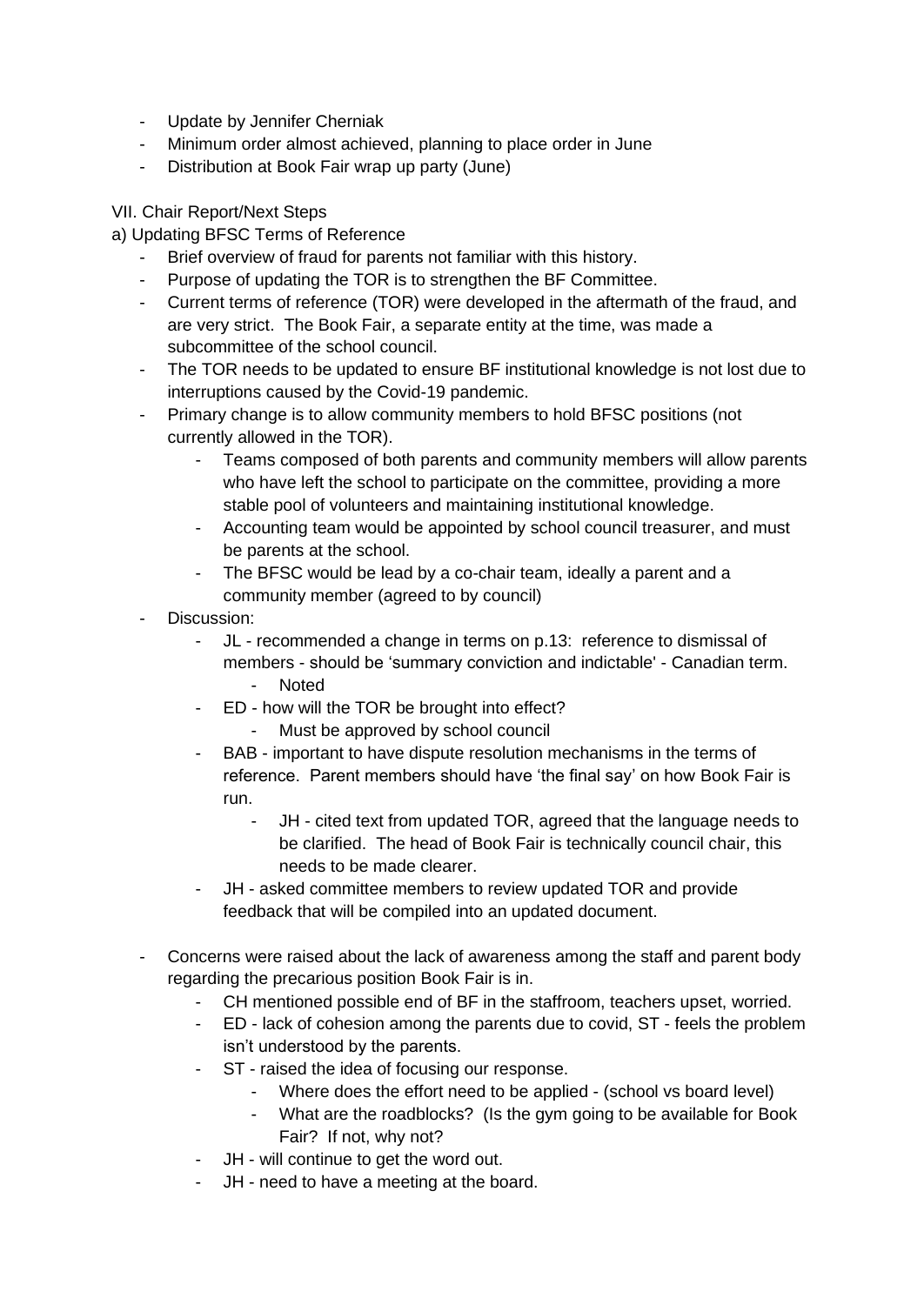- Update by Jennifer Cherniak
- Minimum order almost achieved, planning to place order in June
- Distribution at Book Fair wrap up party (June)

### VII. Chair Report/Next Steps

### a) Updating BFSC Terms of Reference

- Brief overview of fraud for parents not familiar with this history.
- Purpose of updating the TOR is to strengthen the BF Committee.
- Current terms of reference (TOR) were developed in the aftermath of the fraud, and are very strict. The Book Fair, a separate entity at the time, was made a subcommittee of the school council.
- The TOR needs to be updated to ensure BF institutional knowledge is not lost due to interruptions caused by the Covid-19 pandemic.
- Primary change is to allow community members to hold BFSC positions (not currently allowed in the TOR).
	- Teams composed of both parents and community members will allow parents who have left the school to participate on the committee, providing a more stable pool of volunteers and maintaining institutional knowledge.
	- Accounting team would be appointed by school council treasurer, and must be parents at the school.
	- The BFSC would be lead by a co-chair team, ideally a parent and a community member (agreed to by council)
- Discussion:
	- JL recommended a change in terms on p.13: reference to dismissal of members - should be 'summary conviction and indictable' - Canadian term. - Noted
	- ED how will the TOR be brought into effect?
		- Must be approved by school council
	- BAB important to have dispute resolution mechanisms in the terms of reference. Parent members should have 'the final say' on how Book Fair is run.
		- JH cited text from updated TOR, agreed that the language needs to be clarified. The head of Book Fair is technically council chair, this needs to be made clearer.
	- JH asked committee members to review updated TOR and provide feedback that will be compiled into an updated document.
- Concerns were raised about the lack of awareness among the staff and parent body regarding the precarious position Book Fair is in.
	- CH mentioned possible end of BF in the staffroom, teachers upset, worried.
	- ED lack of cohesion among the parents due to covid, ST feels the problem isn't understood by the parents.
	- ST raised the idea of focusing our response.
		- Where does the effort need to be applied (school vs board level)
		- What are the roadblocks? (Is the gym going to be available for Book Fair? If not, why not?
	- JH will continue to get the word out.
	- JH need to have a meeting at the board.